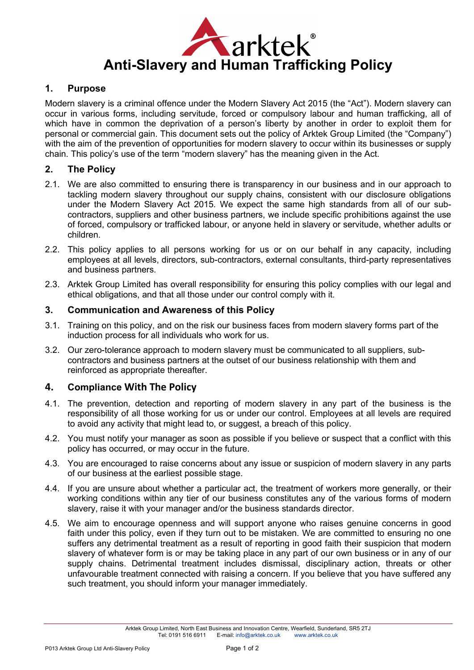

### **1. Purpose**

Modern slavery is a criminal offence under the Modern Slavery Act 2015 (the "Act"). Modern slavery can occur in various forms, including servitude, forced or compulsory labour and human trafficking, all of which have in common the deprivation of a person's liberty by another in order to exploit them for personal or commercial gain. This document sets out the policy of Arktek Group Limited (the "Company") with the aim of the prevention of opportunities for modern slavery to occur within its businesses or supply chain. This policy's use of the term "modern slavery" has the meaning given in the Act.

### **2. The Policy**

- 2.1. We are also committed to ensuring there is transparency in our business and in our approach to tackling modern slavery throughout our supply chains, consistent with our disclosure obligations under the Modern Slavery Act 2015. We expect the same high standards from all of our subcontractors, suppliers and other business partners, we include specific prohibitions against the use of forced, compulsory or trafficked labour, or anyone held in slavery or servitude, whether adults or children.
- 2.2. This policy applies to all persons working for us or on our behalf in any capacity, including employees at all levels, directors, sub-contractors, external consultants, third-party representatives and business partners.
- 2.3. Arktek Group Limited has overall responsibility for ensuring this policy complies with our legal and ethical obligations, and that all those under our control comply with it.

## **3. Communication and Awareness of this Policy**

- 3.1. Training on this policy, and on the risk our business faces from modern slavery forms part of the induction process for all individuals who work for us.
- 3.2. Our zero-tolerance approach to modern slavery must be communicated to all suppliers, subcontractors and business partners at the outset of our business relationship with them and reinforced as appropriate thereafter.

### **4. Compliance With The Policy**

- 4.1. The prevention, detection and reporting of modern slavery in any part of the business is the responsibility of all those working for us or under our control. Employees at all levels are required to avoid any activity that might lead to, or suggest, a breach of this policy.
- 4.2. You must notify your manager as soon as possible if you believe or suspect that a conflict with this policy has occurred, or may occur in the future.
- 4.3. You are encouraged to raise concerns about any issue or suspicion of modern slavery in any parts of our business at the earliest possible stage.
- 4.4. If you are unsure about whether a particular act, the treatment of workers more generally, or their working conditions within any tier of our business constitutes any of the various forms of modern slavery, raise it with your manager and/or the business standards director.
- 4.5. We aim to encourage openness and will support anyone who raises genuine concerns in good faith under this policy, even if they turn out to be mistaken. We are committed to ensuring no one suffers any detrimental treatment as a result of reporting in good faith their suspicion that modern slavery of whatever form is or may be taking place in any part of our own business or in any of our supply chains. Detrimental treatment includes dismissal, disciplinary action, threats or other unfavourable treatment connected with raising a concern. If you believe that you have suffered any such treatment, you should inform your manager immediately.